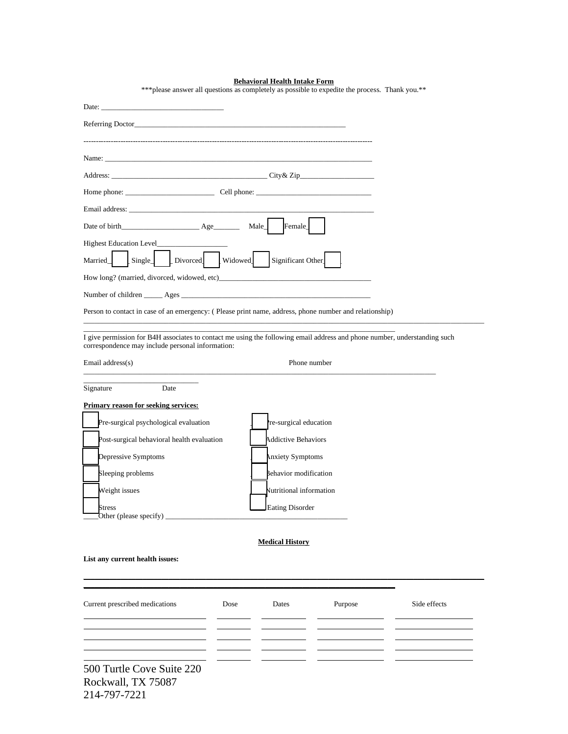|                                                                                                        | <b>Behavioral Health Intake Form</b><br>*** please answer all questions as completely as possible to expedite the process. Thank you.** |
|--------------------------------------------------------------------------------------------------------|-----------------------------------------------------------------------------------------------------------------------------------------|
|                                                                                                        |                                                                                                                                         |
|                                                                                                        |                                                                                                                                         |
| Name:                                                                                                  |                                                                                                                                         |
|                                                                                                        |                                                                                                                                         |
| Home phone: Cell phone: Cell phone:                                                                    |                                                                                                                                         |
|                                                                                                        |                                                                                                                                         |
|                                                                                                        |                                                                                                                                         |
| <b>Highest Education Level</b>                                                                         |                                                                                                                                         |
| Single [Divorced] Widowed<br>Married                                                                   | Significant Other                                                                                                                       |
|                                                                                                        |                                                                                                                                         |
|                                                                                                        |                                                                                                                                         |
| Person to contact in case of an emergency: (Please print name, address, phone number and relationship) |                                                                                                                                         |
| correspondence may include personal information:                                                       | I give permission for B4H associates to contact me using the following email address and phone number, understanding such               |
| Email address(s)                                                                                       | Phone number                                                                                                                            |
| Signature<br>Date                                                                                      |                                                                                                                                         |
| <b>Primary reason for seeking services:</b>                                                            |                                                                                                                                         |
| Pre-surgical psychological evaluation                                                                  | re-surgical education                                                                                                                   |
| Post-surgical behavioral health evaluation                                                             | <b>Addictive Behaviors</b>                                                                                                              |
| Depressive Symptoms                                                                                    | Anxiety Symptoms                                                                                                                        |
| Sleeping problems                                                                                      | Behavior modification                                                                                                                   |
| Weight issues                                                                                          | Nutritional information                                                                                                                 |
| <b>Stress</b>                                                                                          | Eating Disorder                                                                                                                         |
|                                                                                                        |                                                                                                                                         |

## **Medical History**

**\_\_\_\_\_\_\_\_\_\_\_\_\_\_\_\_\_\_\_\_\_\_\_\_\_\_\_\_\_\_\_\_\_\_\_\_\_\_\_\_\_\_\_\_\_\_\_\_\_\_\_\_\_\_\_\_\_\_\_\_\_\_\_\_\_\_\_\_\_\_\_\_\_\_\_\_\_\_\_\_\_\_\_\_\_\_\_\_\_\_\_\_\_\_\_\_\_\_\_\_\_\_\_\_\_\_\_\_**

## **List any current health issues:**

| Current prescribed medications                                  | Dose | Dates | Purpose | Side effects |
|-----------------------------------------------------------------|------|-------|---------|--------------|
| 500 Turtle Cove Suite 220<br>Rockwall, TX 75087<br>214-797-7221 |      |       |         |              |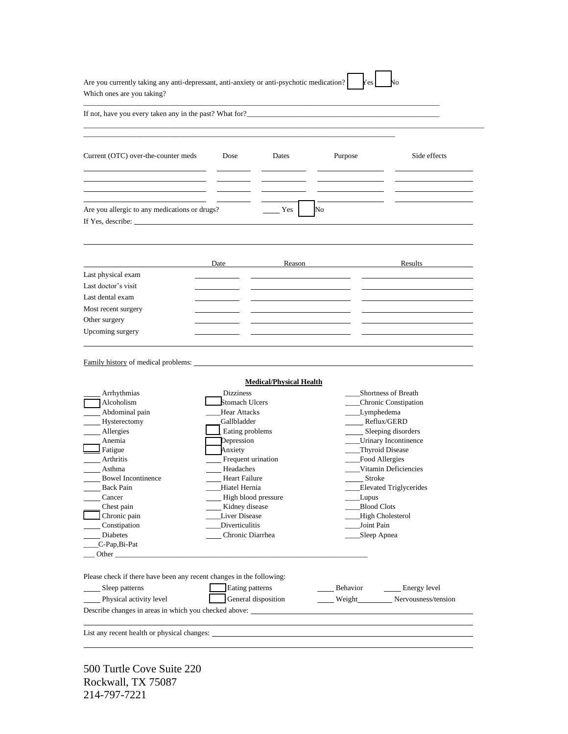| If not, have you every taken any in the past? What for?<br><u>Letting</u> the contract of the past of the past? What for $\frac{1}{2}$ and the contract of the contract of the contract of the past of the past of the past of the contra |                                                                                                                                                                                                                                               |                                |                                                                                                                      |                                                                                                                                                    |
|-------------------------------------------------------------------------------------------------------------------------------------------------------------------------------------------------------------------------------------------|-----------------------------------------------------------------------------------------------------------------------------------------------------------------------------------------------------------------------------------------------|--------------------------------|----------------------------------------------------------------------------------------------------------------------|----------------------------------------------------------------------------------------------------------------------------------------------------|
| Current (OTC) over-the-counter meds                                                                                                                                                                                                       | Dose                                                                                                                                                                                                                                          | Dates                          | Purpose                                                                                                              | Side effects                                                                                                                                       |
| Are you allergic to any medications or drugs?<br>If Yes, describe: $\frac{1}{\sqrt{1-\frac{1}{2}} \cdot \frac{1}{2}}$                                                                                                                     |                                                                                                                                                                                                                                               | Yes                            | No                                                                                                                   |                                                                                                                                                    |
|                                                                                                                                                                                                                                           | <b>Date</b>                                                                                                                                                                                                                                   | Reason                         |                                                                                                                      | Results                                                                                                                                            |
| Last physical exam                                                                                                                                                                                                                        |                                                                                                                                                                                                                                               |                                |                                                                                                                      |                                                                                                                                                    |
| Last doctor's visit                                                                                                                                                                                                                       |                                                                                                                                                                                                                                               |                                |                                                                                                                      |                                                                                                                                                    |
| Last dental exam                                                                                                                                                                                                                          |                                                                                                                                                                                                                                               |                                |                                                                                                                      |                                                                                                                                                    |
| Most recent surgery                                                                                                                                                                                                                       |                                                                                                                                                                                                                                               |                                |                                                                                                                      |                                                                                                                                                    |
| Other surgery                                                                                                                                                                                                                             |                                                                                                                                                                                                                                               |                                |                                                                                                                      |                                                                                                                                                    |
| Upcoming surgery                                                                                                                                                                                                                          |                                                                                                                                                                                                                                               |                                |                                                                                                                      |                                                                                                                                                    |
| Arrhythmias                                                                                                                                                                                                                               | <b>Dizziness</b>                                                                                                                                                                                                                              | <b>Medical/Physical Health</b> |                                                                                                                      | Shortness of Breath                                                                                                                                |
| Alcoholism<br>Abdominal pain<br>Hysterectomy<br>Allergies<br>Anemia<br>Fatigue<br>Arthritis<br>Asthma<br><b>Bowel Incontinence</b><br><b>Back Pain</b><br>Cancer<br>Chest pain<br>Chronic pain                                            | <b>Stomach Ulcers</b><br><b>Hear Attacks</b><br>Gallbladder<br>Eating problems<br>Depression<br>Anxiety<br>Frequent urination<br>Headaches<br><b>Heart Failure</b><br>Hiatel Hernia<br>High blood pressure<br>Kidney disease<br>Liver Disease |                                | ____Lymphedema<br>Reflux/GERD<br>__Thyroid Disease<br>Food Allergies<br><b>Stroke</b><br>Lupus<br><b>Blood Clots</b> | Chronic Constipation<br>Sleeping disorders<br>___Urinary Incontinence<br>Vitamin Deficiencies<br><b>Elevated Triglycerides</b><br>High Cholesterol |
| Constipation                                                                                                                                                                                                                              | Diverticulitis                                                                                                                                                                                                                                |                                | Joint Pain                                                                                                           |                                                                                                                                                    |
| Diabetes<br>C-Pap, Bi-Pat                                                                                                                                                                                                                 | Chronic Diarrhea                                                                                                                                                                                                                              |                                | Sleep Apnea                                                                                                          |                                                                                                                                                    |
| Other                                                                                                                                                                                                                                     |                                                                                                                                                                                                                                               |                                |                                                                                                                      |                                                                                                                                                    |
|                                                                                                                                                                                                                                           |                                                                                                                                                                                                                                               |                                |                                                                                                                      |                                                                                                                                                    |
| Please check if there have been any recent changes in the following:<br>Sleep patterns                                                                                                                                                    | Eating patterns                                                                                                                                                                                                                               |                                | Behavior                                                                                                             | Energy level                                                                                                                                       |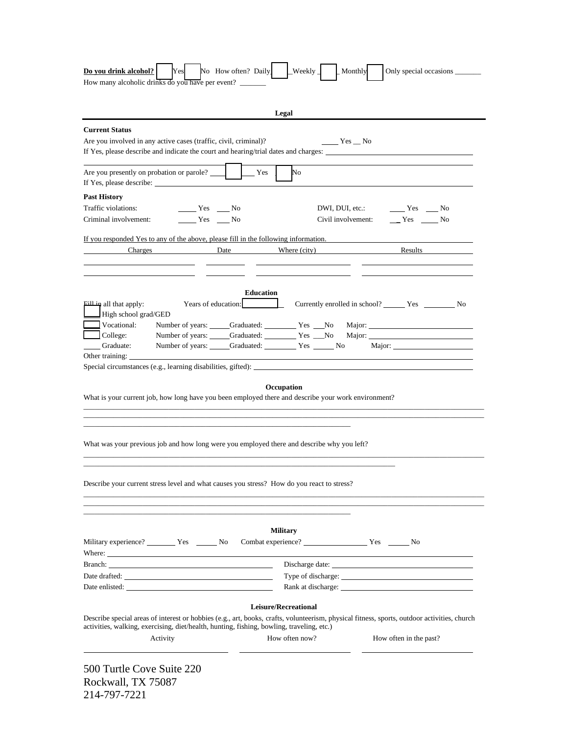| How many alcoholic drinks do you have per event?                                                                                                                                                                                                     |                                                                                                                                             |
|------------------------------------------------------------------------------------------------------------------------------------------------------------------------------------------------------------------------------------------------------|---------------------------------------------------------------------------------------------------------------------------------------------|
|                                                                                                                                                                                                                                                      |                                                                                                                                             |
|                                                                                                                                                                                                                                                      |                                                                                                                                             |
|                                                                                                                                                                                                                                                      | Legal                                                                                                                                       |
| <b>Current Status</b>                                                                                                                                                                                                                                |                                                                                                                                             |
| Are you involved in any active cases (traffic, civil, criminal)?                                                                                                                                                                                     | $Yes$ No                                                                                                                                    |
|                                                                                                                                                                                                                                                      | If Yes, please describe and indicate the court and hearing/trial dates and charges:                                                         |
| Are you presently on probation or parole?                                                                                                                                                                                                            | No<br>Yes                                                                                                                                   |
| <b>Past History</b>                                                                                                                                                                                                                                  |                                                                                                                                             |
| Traffic violations:<br>Yes No                                                                                                                                                                                                                        | $Yes$ No<br>DWI, DUI, etc.:                                                                                                                 |
| $Yes$ No<br>Criminal involvement:                                                                                                                                                                                                                    | $Yes$ No<br>Civil involvement:                                                                                                              |
|                                                                                                                                                                                                                                                      | If you responded Yes to any of the above, please fill in the following information.                                                         |
| Charges                                                                                                                                                                                                                                              | Where (city)<br>Results<br>Date                                                                                                             |
|                                                                                                                                                                                                                                                      |                                                                                                                                             |
|                                                                                                                                                                                                                                                      |                                                                                                                                             |
|                                                                                                                                                                                                                                                      | <b>Education</b>                                                                                                                            |
| Years of education:<br>all that apply:                                                                                                                                                                                                               |                                                                                                                                             |
| High school grad/GED                                                                                                                                                                                                                                 |                                                                                                                                             |
| Vocational:                                                                                                                                                                                                                                          | Number of years: Graduated: Yes No Major:                                                                                                   |
| $\Box$ College:                                                                                                                                                                                                                                      | Number of years: Craduated: Ves No                                                                                                          |
|                                                                                                                                                                                                                                                      |                                                                                                                                             |
| Graduate:                                                                                                                                                                                                                                            | Number of years: Graduated: Yes No Major:                                                                                                   |
|                                                                                                                                                                                                                                                      |                                                                                                                                             |
| Other training:                                                                                                                                                                                                                                      |                                                                                                                                             |
|                                                                                                                                                                                                                                                      | Occupation                                                                                                                                  |
|                                                                                                                                                                                                                                                      | What is your current job, how long have you been employed there and describe your work environment?                                         |
|                                                                                                                                                                                                                                                      |                                                                                                                                             |
|                                                                                                                                                                                                                                                      |                                                                                                                                             |
|                                                                                                                                                                                                                                                      |                                                                                                                                             |
|                                                                                                                                                                                                                                                      | What was your previous job and how long were you employed there and describe why you left?                                                  |
|                                                                                                                                                                                                                                                      |                                                                                                                                             |
|                                                                                                                                                                                                                                                      |                                                                                                                                             |
|                                                                                                                                                                                                                                                      |                                                                                                                                             |
|                                                                                                                                                                                                                                                      |                                                                                                                                             |
|                                                                                                                                                                                                                                                      |                                                                                                                                             |
|                                                                                                                                                                                                                                                      |                                                                                                                                             |
|                                                                                                                                                                                                                                                      | <b>Military</b>                                                                                                                             |
|                                                                                                                                                                                                                                                      | Military experience? _________ Yes _______ No Combat experience? __________________ Yes _______ No                                          |
|                                                                                                                                                                                                                                                      |                                                                                                                                             |
|                                                                                                                                                                                                                                                      |                                                                                                                                             |
|                                                                                                                                                                                                                                                      |                                                                                                                                             |
|                                                                                                                                                                                                                                                      |                                                                                                                                             |
|                                                                                                                                                                                                                                                      | Leisure/Recreational                                                                                                                        |
|                                                                                                                                                                                                                                                      | Describe special areas of interest or hobbies (e.g., art, books, crafts, volunteerism, physical fitness, sports, outdoor activities, church |
| Describe your current stress level and what causes you stress? How do you react to stress?<br>Branch: <b>Example 2018</b><br>Date enlisted:<br>activities, walking, exercising, diet/health, hunting, fishing, bowling, traveling, etc.)<br>Activity | How often now?<br>How often in the past?                                                                                                    |

Rockwall, TX 75087 214-797-7221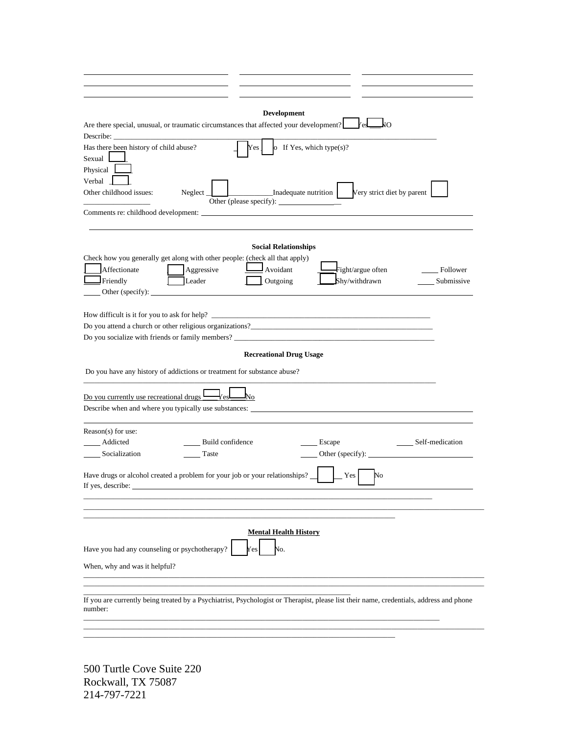| <b>Development</b><br>Are there special, unusual, or traumatic circumstances that affected your development?<br>$\Box$<br><b>Zest</b><br>Describe:<br>Has there been history of child abuse?<br>Yes<br>o If Yes, which type(s)?<br>Sexual   |
|---------------------------------------------------------------------------------------------------------------------------------------------------------------------------------------------------------------------------------------------|
| Physical<br>Verbal<br>Very strict diet by parent<br>Other childhood issues:<br>Inadequate nutrition<br>Neglect                                                                                                                              |
| <b>Social Relationships</b>                                                                                                                                                                                                                 |
| Check how you generally get along with other people: (check all that apply)<br>Affectionate<br>Aggressive<br>Avoidant<br>Fight/argue often<br>Follower<br>Friendly<br>Leader<br>Outgoing<br>Shy/withdrawn<br>Submissive<br>Other (specify): |
| How difficult is it for you to ask for help?<br>Do you socialize with friends or family members?                                                                                                                                            |
| <b>Recreational Drug Usage</b><br>Do you have any history of addictions or treatment for substance abuse?                                                                                                                                   |
| Do you currently use recreational drugs $\Box$<br>-No<br>Describe when and where you typically use substances:                                                                                                                              |
| Reason(s) for use:<br>Addicted<br><b>Build</b> confidence<br>Self-medication<br>Escape<br>Socialization<br>Other (specify):<br>Taste                                                                                                        |
| Have drugs or alcohol created a problem for your job or your relationships?<br>Yes<br>No<br>If yes, describe:                                                                                                                               |
| <b>Mental Health History</b><br>Have you had any counseling or psychotherapy?<br>No.<br>Y es<br>When, why and was it helpful?                                                                                                               |
| If you are currently being treated by a Psychiatrist, Psychologist or Therapist, please list their name, credentials, address and phone<br>number:                                                                                          |

 $\_$  , and the set of the set of the set of the set of the set of the set of the set of the set of the set of the set of the set of the set of the set of the set of the set of the set of the set of the set of the set of th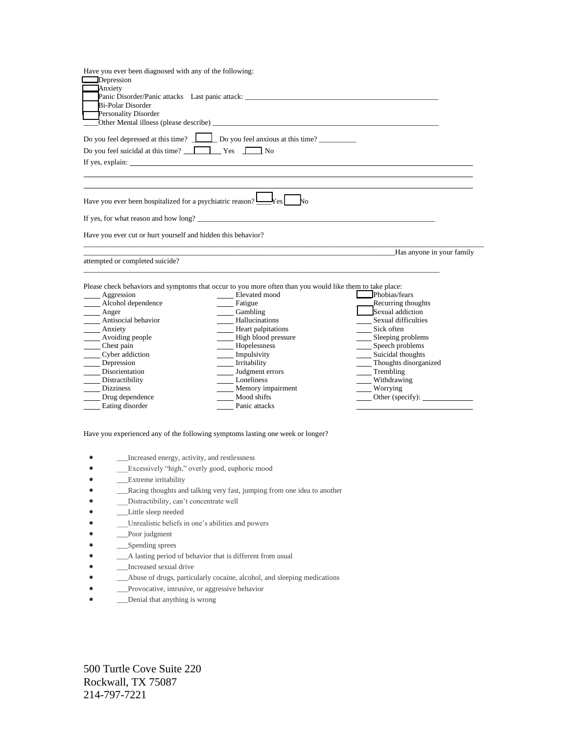| Have you ever been diagnosed with any of the following:      |                                                                                                          |                           |
|--------------------------------------------------------------|----------------------------------------------------------------------------------------------------------|---------------------------|
| Depression                                                   |                                                                                                          |                           |
| <b>Anxiety</b>                                               |                                                                                                          |                           |
|                                                              | Panic Disorder/Panic attacks Last panic attack:                                                          |                           |
| Bi-Polar Disorder                                            |                                                                                                          |                           |
| Personality Disorder                                         |                                                                                                          |                           |
|                                                              |                                                                                                          |                           |
|                                                              | Do you feel depressed at this time?<br><u> </u> Do you feel anxious at this time?                        |                           |
| Do you feel suicidal at this time? Ves No                    |                                                                                                          |                           |
|                                                              |                                                                                                          |                           |
|                                                              |                                                                                                          |                           |
|                                                              |                                                                                                          |                           |
|                                                              |                                                                                                          |                           |
|                                                              | If yes, for what reason and how long?                                                                    |                           |
| Have you ever cut or hurt yourself and hidden this behavior? |                                                                                                          |                           |
|                                                              |                                                                                                          |                           |
|                                                              |                                                                                                          | Has anyone in your family |
| attempted or completed suicide?                              |                                                                                                          |                           |
|                                                              |                                                                                                          |                           |
|                                                              | Please check behaviors and symptoms that occur to you more often than you would like them to take place: |                           |
| Aggression                                                   | Elevated mood                                                                                            | Phobias/fears             |
| Alcohol dependence                                           | Fatigue                                                                                                  | Recurring thoughts        |
| Anger                                                        | Cambling                                                                                                 | Sexual addiction          |
| ____ Antisocial behavior                                     | Hallucinations                                                                                           | Sexual difficulties       |
| Anxiety                                                      | Heart palpitations                                                                                       | Sick often                |
| Avoiding people                                              | High blood pressure                                                                                      | Sleeping problems         |
| Chest pain                                                   | Hopelessness                                                                                             | Speech problems           |
| Cyber addiction                                              | Impulsivity                                                                                              | Suicidal thoughts         |
| Depression                                                   | Irritability                                                                                             | _Thoughts disorganized    |
| Disorientation                                               | Judgment errors                                                                                          | Trembling                 |
| Distractibility                                              | Loneliness                                                                                               | Withdrawing               |
| <b>Dizziness</b>                                             | Memory impairment                                                                                        | Worrying                  |
| Drug dependence                                              | Mood shifts                                                                                              | Other (specify):          |
| Eating disorder                                              | Panic attacks                                                                                            |                           |

Have you experienced any of the following symptoms lasting one week or longer?

- **\_\_\_**Increased energy, activity, and restlessness
- \_\_\_Excessively "high," overly good, euphoric mood
- \_\_\_\_Extreme irritability
- \_\_\_Racing thoughts and talking very fast, jumping from one idea to another
- \_\_\_Distractibility, can't concentrate well
- \_\_\_Little sleep needed
- Unrealistic beliefs in one's abilities and powers
- \_\_\_Poor judgment
- \_\_\_\_\_\_\_\_\_Spending sprees
- $\qquad \qquad \text{A lasting period of behavior that is different from usual}$
- **\_\_\_**Increased sexual drive
- \_\_\_Abuse of drugs, particularly cocaine, alcohol, and sleeping medications
- **\_\_\_Provocative, intrusive, or aggressive behavior**
- **\_\_\_Denial that anything is wrong**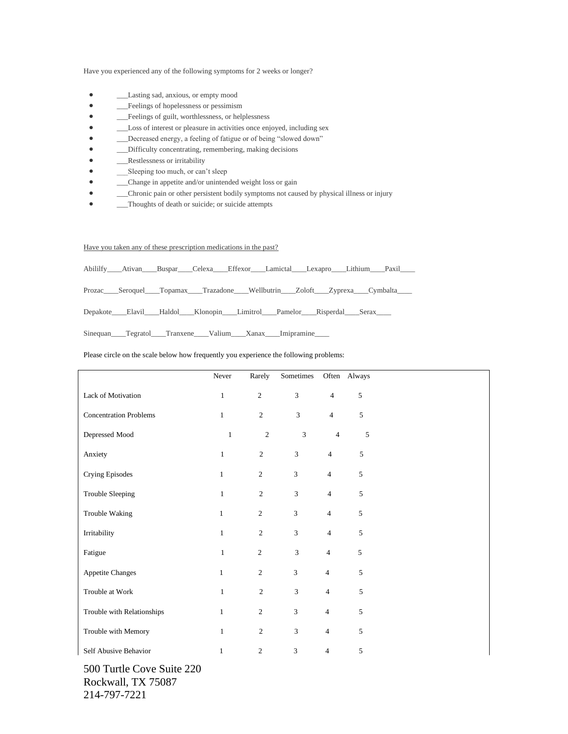Have you experienced any of the following symptoms for 2 weeks or longer?

- \_\_\_Lasting sad, anxious, or empty mood
- **Example 1** Feelings of hopelessness or pessimism
- \_\_\_Feelings of guilt, worthlessness, or helplessness
- \_\_\_Loss of interest or pleasure in activities once enjoyed, including sex
- \_\_\_Decreased energy, a feeling of fatigue or of being "slowed down"
- \_\_\_Difficulty concentrating, remembering, making decisions
- **EXECUTE:** Restlessness or irritability
- Sleeping too much, or can't sleep
- Change in appetite and/or unintended weight loss or gain
- \_\_\_Chronic pain or other persistent bodily symptoms not caused by physical illness or injury
- <del>\_\_\_</del>Thoughts of death or suicide; or suicide attempts

Have you taken any of these prescription medications in the past?

|  |  | Abililfy Ativan Buspar Celexa Effexor Lamictal Lexapro Lithium Paxil |  |  |
|--|--|----------------------------------------------------------------------|--|--|
|  |  |                                                                      |  |  |

Prozac\_\_\_\_Seroquel\_\_\_\_Topamax\_\_\_\_Trazadone\_\_\_\_Wellbutrin\_\_\_\_Zoloft\_\_\_\_Zyprexa\_\_\_\_Cymbalta\_

Depakote\_\_\_\_Elavil\_\_\_\_Haldol\_\_\_\_Klonopin\_\_\_Limitrol\_\_\_\_Pamelor\_\_\_\_Risperdal\_\_\_\_Serax\_\_\_

Sinequan\_\_\_\_Tegratol\_\_\_\_Tranxene\_\_\_\_Valium\_\_\_\_Xanax\_\_\_\_Imipramine\_

## Please circle on the scale below how frequently you experience the following problems:

|                               | Never        | Rarely         | Sometimes      |                | Often Always |  |
|-------------------------------|--------------|----------------|----------------|----------------|--------------|--|
| Lack of Motivation            | $\mathbf{1}$ | $\overline{2}$ | $\mathfrak{Z}$ | $\overline{4}$ | 5            |  |
| <b>Concentration Problems</b> | $1\,$        | $\sqrt{2}$     | 3              | $\overline{4}$ | 5            |  |
| Depressed Mood                | $\mathbf{1}$ | $\sqrt{2}$     | $\mathfrak{Z}$ | $\overline{4}$ | 5            |  |
| Anxiety                       | $\,1\,$      | $\sqrt{2}$     | $\mathfrak{Z}$ | $\overline{4}$ | 5            |  |
| Crying Episodes               | $\mathbf{1}$ | $\overline{c}$ | $\mathfrak z$  | $\overline{4}$ | 5            |  |
| Trouble Sleeping              | $\mathbf{1}$ | 2              | $\mathfrak{Z}$ | $\overline{4}$ | 5            |  |
| Trouble Waking                | $\mathbf{1}$ | $\overline{2}$ | $\mathfrak{Z}$ | $\overline{4}$ | 5            |  |
| Irritability                  | $\mathbf{1}$ | $\overline{2}$ | $\overline{3}$ | $\overline{4}$ | 5            |  |
| Fatigue                       | $\mathbf{1}$ | $\sqrt{2}$     | 3              | $\overline{4}$ | 5            |  |
| <b>Appetite Changes</b>       | $\mathbf{1}$ | $\overline{2}$ | 3              | $\overline{4}$ | 5            |  |
| Trouble at Work               | $\mathbf{1}$ | $\sqrt{2}$     | $\mathfrak{Z}$ | $\overline{4}$ | 5            |  |
| Trouble with Relationships    | $\mathbf{1}$ | $\overline{2}$ | $\mathfrak{Z}$ | $\overline{4}$ | 5            |  |
| Trouble with Memory           | $\mathbf{1}$ | $\sqrt{2}$     | 3              | $\overline{4}$ | $\sqrt{5}$   |  |
| Self Abusive Behavior         | $\mathbf{1}$ | $\mathbf{2}$   | $\mathfrak{Z}$ | $\overline{4}$ | 5            |  |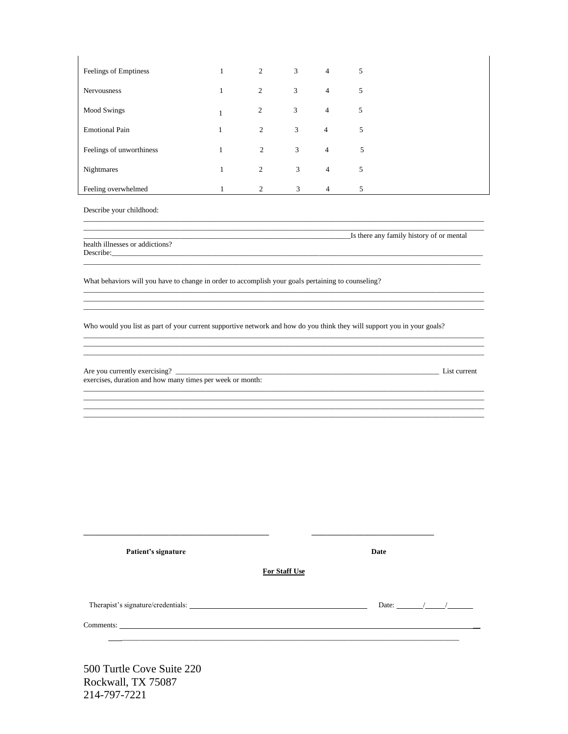| Feelings of Emptiness    |              | $1 \qquad \qquad 2$ | $3 \left( \frac{1}{2} \right)$ | $4\overline{ }$ | 5 |  |
|--------------------------|--------------|---------------------|--------------------------------|-----------------|---|--|
| <b>Nervousness</b>       | $\mathbf{1}$ | 2                   | 3                              | $\overline{4}$  | 5 |  |
| <b>Mood Swings</b>       | 1            | $\overline{2}$      | 3                              | $\overline{4}$  | 5 |  |
| <b>Emotional Pain</b>    | $\mathbf{1}$ | 2                   | 3 <sup>7</sup>                 | $\overline{4}$  | 5 |  |
| Feelings of unworthiness | $\mathbf{1}$ | 2                   | 3 <sup>7</sup>                 | $\overline{4}$  | 5 |  |
| Nightmares               | $\mathbf{1}$ | 2                   | 3 <sup>7</sup>                 | $\overline{4}$  | 5 |  |
| Feeling overwhelmed      | 1            | 2                   | 3                              | $\overline{4}$  | 5 |  |

Describe your childhood:

Is there any family history of or mental

health illnesses or addictions? Describe:

What behaviors will you have to change in order to accomplish your goals pertaining to counseling?

Who would you list as part of your current supportive network and how do you think they will support you in your goals?

Are you currently exercising? \_ exercises, duration and how many times per week or month:

List current

| Patient's signature |                      | Date                  |
|---------------------|----------------------|-----------------------|
|                     | <b>For Staff Use</b> |                       |
|                     |                      | Date: $\frac{1}{2}$ / |
|                     |                      |                       |
|                     |                      |                       |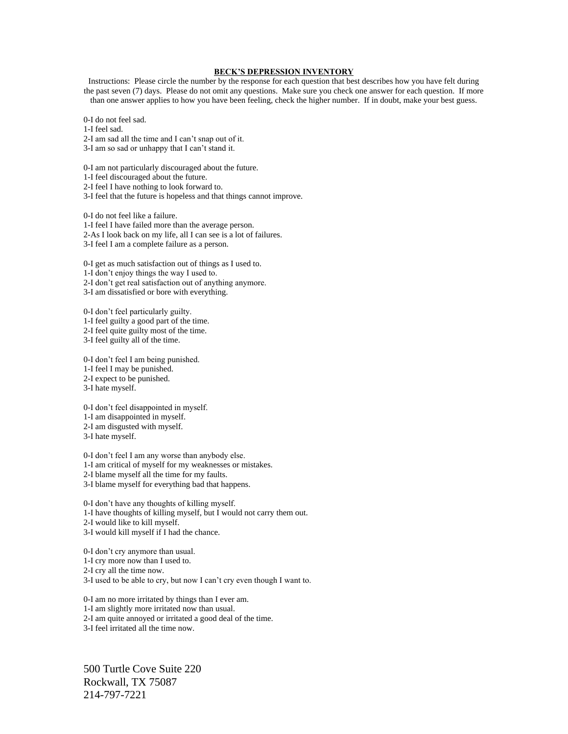## **BECK'S DEPRESSION INVENTORY**

Instructions: Please circle the number by the response for each question that best describes how you have felt during the past seven (7) days. Please do not omit any questions. Make sure you check one answer for each question. If more than one answer applies to how you have been feeling, check the higher number. If in doubt, make your best guess.

0-I do not feel sad.

1-I feel sad.

2-I am sad all the time and I can't snap out of it.

3-I am so sad or unhappy that I can't stand it.

0-I am not particularly discouraged about the future.

1-I feel discouraged about the future.

2-I feel I have nothing to look forward to.

3-I feel that the future is hopeless and that things cannot improve.

0-I do not feel like a failure. 1-I feel I have failed more than the average person. 2-As I look back on my life, all I can see is a lot of failures. 3-I feel I am a complete failure as a person.

0-I get as much satisfaction out of things as I used to.

1-I don't enjoy things the way I used to.

2-I don't get real satisfaction out of anything anymore.

3-I am dissatisfied or bore with everything.

0-I don't feel particularly guilty. 1-I feel guilty a good part of the time. 2-I feel quite guilty most of the time.

3-I feel guilty all of the time.

0-I don't feel I am being punished. 1-I feel I may be punished. 2-I expect to be punished.

3-I hate myself.

0-I don't feel disappointed in myself.

1-I am disappointed in myself.

2-I am disgusted with myself.

3-I hate myself.

0-I don't feel I am any worse than anybody else.

1-I am critical of myself for my weaknesses or mistakes.

2-I blame myself all the time for my faults.

3-I blame myself for everything bad that happens.

0-I don't have any thoughts of killing myself. 1-I have thoughts of killing myself, but I would not carry them out. 2-I would like to kill myself. 3-I would kill myself if I had the chance.

0-I don't cry anymore than usual.

1-I cry more now than I used to.

2-I cry all the time now.

3-I used to be able to cry, but now I can't cry even though I want to.

0-I am no more irritated by things than I ever am. 1-I am slightly more irritated now than usual.

2-I am quite annoyed or irritated a good deal of the time.

3-I feel irritated all the time now.